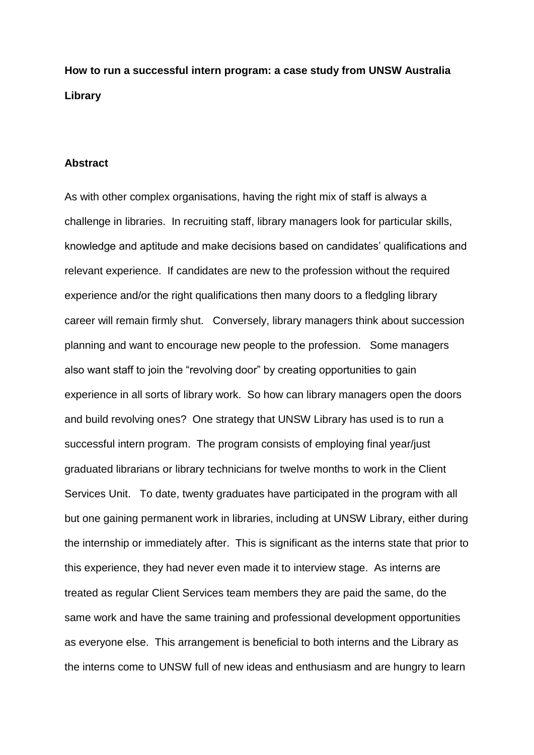**How to run a successful intern program: a case study from UNSW Australia Library**

## **Abstract**

As with other complex organisations, having the right mix of staff is always a challenge in libraries. In recruiting staff, library managers look for particular skills, knowledge and aptitude and make decisions based on candidates' qualifications and relevant experience. If candidates are new to the profession without the required experience and/or the right qualifications then many doors to a fledgling library career will remain firmly shut. Conversely, library managers think about succession planning and want to encourage new people to the profession. Some managers also want staff to join the "revolving door" by creating opportunities to gain experience in all sorts of library work. So how can library managers open the doors and build revolving ones? One strategy that UNSW Library has used is to run a successful intern program. The program consists of employing final year/just graduated librarians or library technicians for twelve months to work in the Client Services Unit. To date, twenty graduates have participated in the program with all but one gaining permanent work in libraries, including at UNSW Library, either during the internship or immediately after. This is significant as the interns state that prior to this experience, they had never even made it to interview stage. As interns are treated as regular Client Services team members they are paid the same, do the same work and have the same training and professional development opportunities as everyone else. This arrangement is beneficial to both interns and the Library as the interns come to UNSW full of new ideas and enthusiasm and are hungry to learn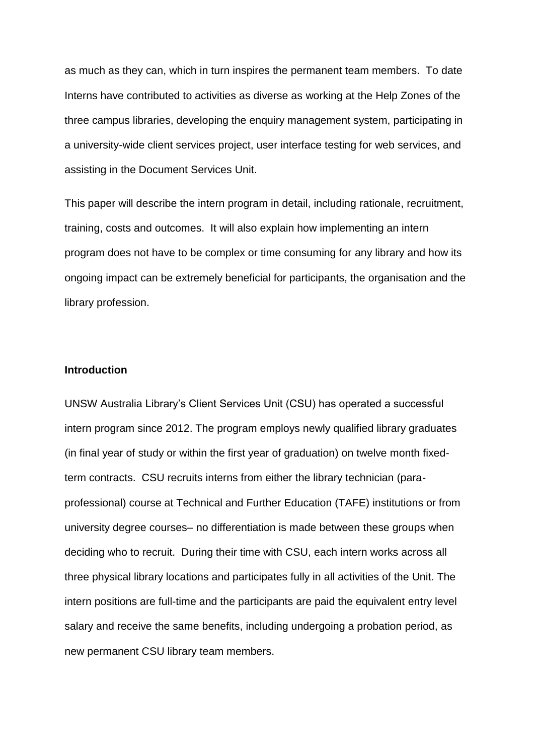as much as they can, which in turn inspires the permanent team members. To date Interns have contributed to activities as diverse as working at the Help Zones of the three campus libraries, developing the enquiry management system, participating in a university-wide client services project, user interface testing for web services, and assisting in the Document Services Unit.

This paper will describe the intern program in detail, including rationale, recruitment, training, costs and outcomes. It will also explain how implementing an intern program does not have to be complex or time consuming for any library and how its ongoing impact can be extremely beneficial for participants, the organisation and the library profession.

### **Introduction**

UNSW Australia Library's Client Services Unit (CSU) has operated a successful intern program since 2012. The program employs newly qualified library graduates (in final year of study or within the first year of graduation) on twelve month fixedterm contracts. CSU recruits interns from either the library technician (paraprofessional) course at Technical and Further Education (TAFE) institutions or from university degree courses– no differentiation is made between these groups when deciding who to recruit. During their time with CSU, each intern works across all three physical library locations and participates fully in all activities of the Unit. The intern positions are full-time and the participants are paid the equivalent entry level salary and receive the same benefits, including undergoing a probation period, as new permanent CSU library team members.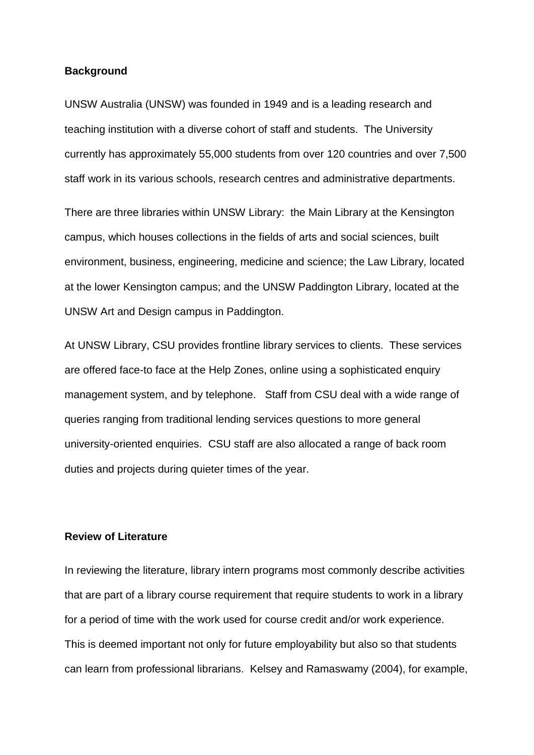## **Background**

UNSW Australia (UNSW) was founded in 1949 and is a leading research and teaching institution with a diverse cohort of staff and students. The University currently has approximately 55,000 students from over 120 countries and over 7,500 staff work in its various schools, research centres and administrative departments.

There are three libraries within UNSW Library: the Main Library at the Kensington campus, which houses collections in the fields of arts and social sciences, built environment, business, engineering, medicine and science; the Law Library, located at the lower Kensington campus; and the UNSW Paddington Library, located at the UNSW Art and Design campus in Paddington.

At UNSW Library, CSU provides frontline library services to clients. These services are offered face-to face at the Help Zones, online using a sophisticated enquiry management system, and by telephone. Staff from CSU deal with a wide range of queries ranging from traditional lending services questions to more general university-oriented enquiries. CSU staff are also allocated a range of back room duties and projects during quieter times of the year.

## **Review of Literature**

In reviewing the literature, library intern programs most commonly describe activities that are part of a library course requirement that require students to work in a library for a period of time with the work used for course credit and/or work experience. This is deemed important not only for future employability but also so that students can learn from professional librarians. Kelsey and Ramaswamy (2004), for example,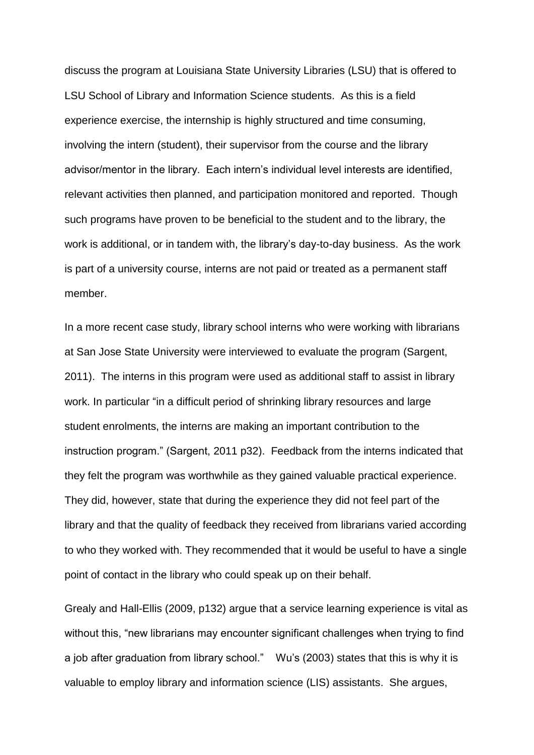discuss the program at Louisiana State University Libraries (LSU) that is offered to LSU School of Library and Information Science students. As this is a field experience exercise, the internship is highly structured and time consuming, involving the intern (student), their supervisor from the course and the library advisor/mentor in the library. Each intern's individual level interests are identified, relevant activities then planned, and participation monitored and reported. Though such programs have proven to be beneficial to the student and to the library, the work is additional, or in tandem with, the library's day-to-day business. As the work is part of a university course, interns are not paid or treated as a permanent staff member.

In a more recent case study, library school interns who were working with librarians at San Jose State University were interviewed to evaluate the program (Sargent, 2011). The interns in this program were used as additional staff to assist in library work. In particular "in a difficult period of shrinking library resources and large student enrolments, the interns are making an important contribution to the instruction program." (Sargent, 2011 p32). Feedback from the interns indicated that they felt the program was worthwhile as they gained valuable practical experience. They did, however, state that during the experience they did not feel part of the library and that the quality of feedback they received from librarians varied according to who they worked with. They recommended that it would be useful to have a single point of contact in the library who could speak up on their behalf.

Grealy and Hall-Ellis (2009, p132) argue that a service learning experience is vital as without this, "new librarians may encounter significant challenges when trying to find a job after graduation from library school." Wu's (2003) states that this is why it is valuable to employ library and information science (LIS) assistants. She argues,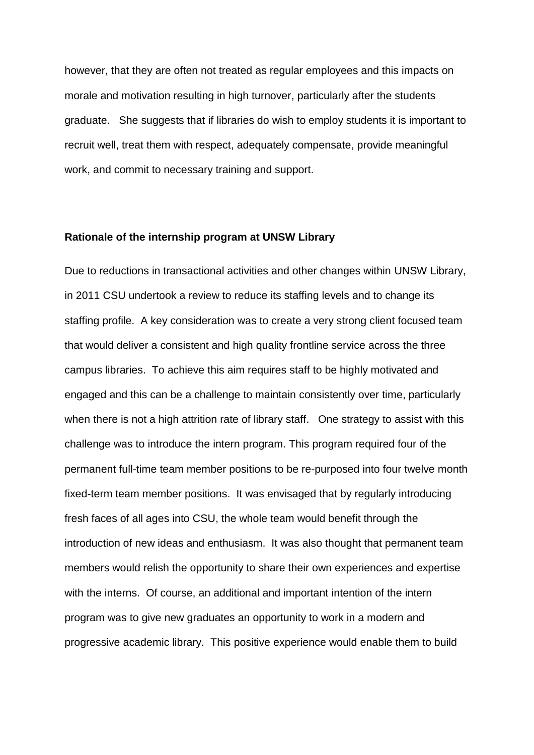however, that they are often not treated as regular employees and this impacts on morale and motivation resulting in high turnover, particularly after the students graduate. She suggests that if libraries do wish to employ students it is important to recruit well, treat them with respect, adequately compensate, provide meaningful work, and commit to necessary training and support.

## **Rationale of the internship program at UNSW Library**

Due to reductions in transactional activities and other changes within UNSW Library, in 2011 CSU undertook a review to reduce its staffing levels and to change its staffing profile. A key consideration was to create a very strong client focused team that would deliver a consistent and high quality frontline service across the three campus libraries. To achieve this aim requires staff to be highly motivated and engaged and this can be a challenge to maintain consistently over time, particularly when there is not a high attrition rate of library staff. One strategy to assist with this challenge was to introduce the intern program. This program required four of the permanent full-time team member positions to be re-purposed into four twelve month fixed-term team member positions. It was envisaged that by regularly introducing fresh faces of all ages into CSU, the whole team would benefit through the introduction of new ideas and enthusiasm. It was also thought that permanent team members would relish the opportunity to share their own experiences and expertise with the interns. Of course, an additional and important intention of the intern program was to give new graduates an opportunity to work in a modern and progressive academic library. This positive experience would enable them to build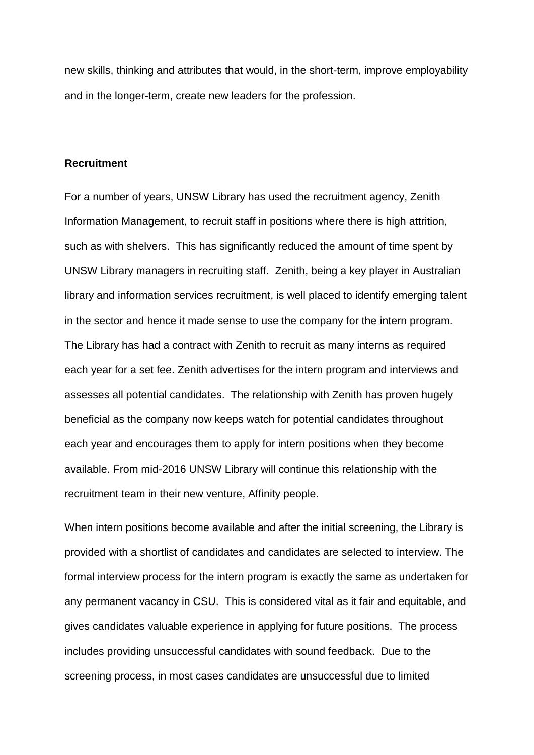new skills, thinking and attributes that would, in the short-term, improve employability and in the longer-term, create new leaders for the profession.

## **Recruitment**

For a number of years, UNSW Library has used the recruitment agency, Zenith Information Management, to recruit staff in positions where there is high attrition, such as with shelvers. This has significantly reduced the amount of time spent by UNSW Library managers in recruiting staff. Zenith, being a key player in Australian library and information services recruitment, is well placed to identify emerging talent in the sector and hence it made sense to use the company for the intern program. The Library has had a contract with Zenith to recruit as many interns as required each year for a set fee. Zenith advertises for the intern program and interviews and assesses all potential candidates. The relationship with Zenith has proven hugely beneficial as the company now keeps watch for potential candidates throughout each year and encourages them to apply for intern positions when they become available. From mid-2016 UNSW Library will continue this relationship with the recruitment team in their new venture, Affinity people.

When intern positions become available and after the initial screening, the Library is provided with a shortlist of candidates and candidates are selected to interview. The formal interview process for the intern program is exactly the same as undertaken for any permanent vacancy in CSU. This is considered vital as it fair and equitable, and gives candidates valuable experience in applying for future positions. The process includes providing unsuccessful candidates with sound feedback. Due to the screening process, in most cases candidates are unsuccessful due to limited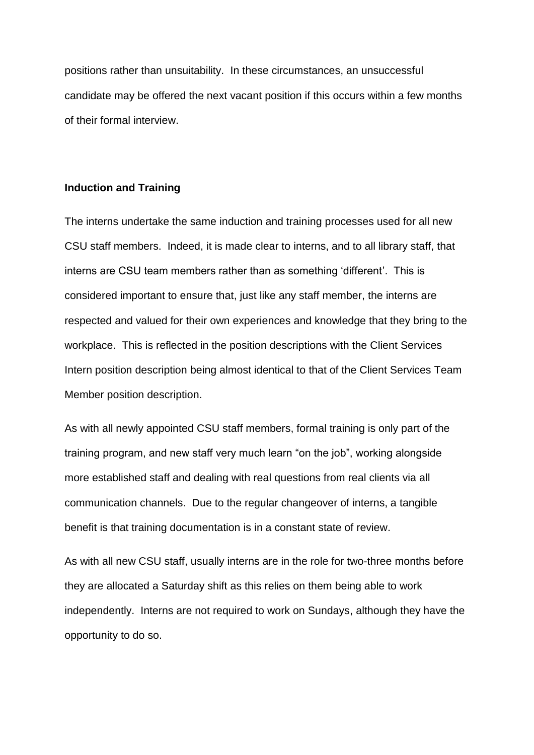positions rather than unsuitability. In these circumstances, an unsuccessful candidate may be offered the next vacant position if this occurs within a few months of their formal interview.

## **Induction and Training**

The interns undertake the same induction and training processes used for all new CSU staff members. Indeed, it is made clear to interns, and to all library staff, that interns are CSU team members rather than as something 'different'. This is considered important to ensure that, just like any staff member, the interns are respected and valued for their own experiences and knowledge that they bring to the workplace. This is reflected in the position descriptions with the Client Services Intern position description being almost identical to that of the Client Services Team Member position description.

As with all newly appointed CSU staff members, formal training is only part of the training program, and new staff very much learn "on the job", working alongside more established staff and dealing with real questions from real clients via all communication channels. Due to the regular changeover of interns, a tangible benefit is that training documentation is in a constant state of review.

As with all new CSU staff, usually interns are in the role for two-three months before they are allocated a Saturday shift as this relies on them being able to work independently. Interns are not required to work on Sundays, although they have the opportunity to do so.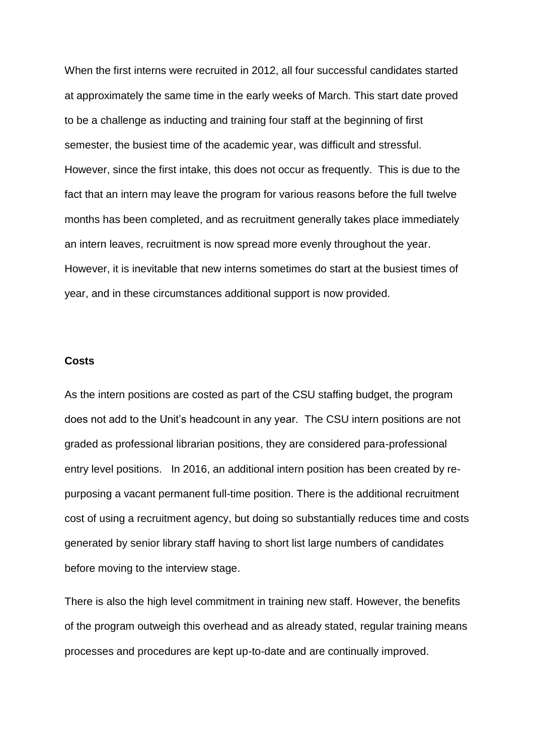When the first interns were recruited in 2012, all four successful candidates started at approximately the same time in the early weeks of March. This start date proved to be a challenge as inducting and training four staff at the beginning of first semester, the busiest time of the academic year, was difficult and stressful. However, since the first intake, this does not occur as frequently. This is due to the fact that an intern may leave the program for various reasons before the full twelve months has been completed, and as recruitment generally takes place immediately an intern leaves, recruitment is now spread more evenly throughout the year. However, it is inevitable that new interns sometimes do start at the busiest times of year, and in these circumstances additional support is now provided.

## **Costs**

As the intern positions are costed as part of the CSU staffing budget, the program does not add to the Unit's headcount in any year. The CSU intern positions are not graded as professional librarian positions, they are considered para-professional entry level positions. In 2016, an additional intern position has been created by repurposing a vacant permanent full-time position. There is the additional recruitment cost of using a recruitment agency, but doing so substantially reduces time and costs generated by senior library staff having to short list large numbers of candidates before moving to the interview stage.

There is also the high level commitment in training new staff. However, the benefits of the program outweigh this overhead and as already stated, regular training means processes and procedures are kept up-to-date and are continually improved.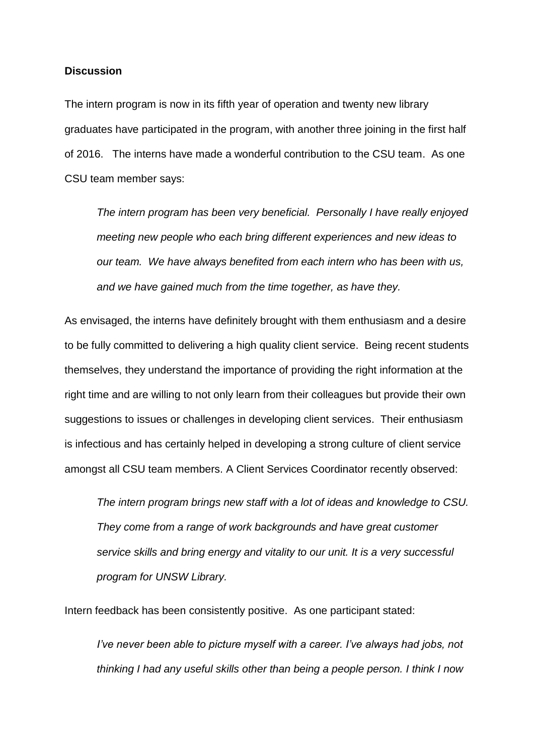# **Discussion**

The intern program is now in its fifth year of operation and twenty new library graduates have participated in the program, with another three joining in the first half of 2016. The interns have made a wonderful contribution to the CSU team. As one CSU team member says:

*The intern program has been very beneficial. Personally I have really enjoyed meeting new people who each bring different experiences and new ideas to our team. We have always benefited from each intern who has been with us, and we have gained much from the time together, as have they.* 

As envisaged, the interns have definitely brought with them enthusiasm and a desire to be fully committed to delivering a high quality client service. Being recent students themselves, they understand the importance of providing the right information at the right time and are willing to not only learn from their colleagues but provide their own suggestions to issues or challenges in developing client services. Their enthusiasm is infectious and has certainly helped in developing a strong culture of client service amongst all CSU team members. A Client Services Coordinator recently observed:

*The intern program brings new staff with a lot of ideas and knowledge to CSU. They come from a range of work backgrounds and have great customer service skills and bring energy and vitality to our unit. It is a very successful program for UNSW Library.*

Intern feedback has been consistently positive. As one participant stated:

*I've never been able to picture myself with a career. I've always had jobs, not thinking I had any useful skills other than being a people person. I think I now*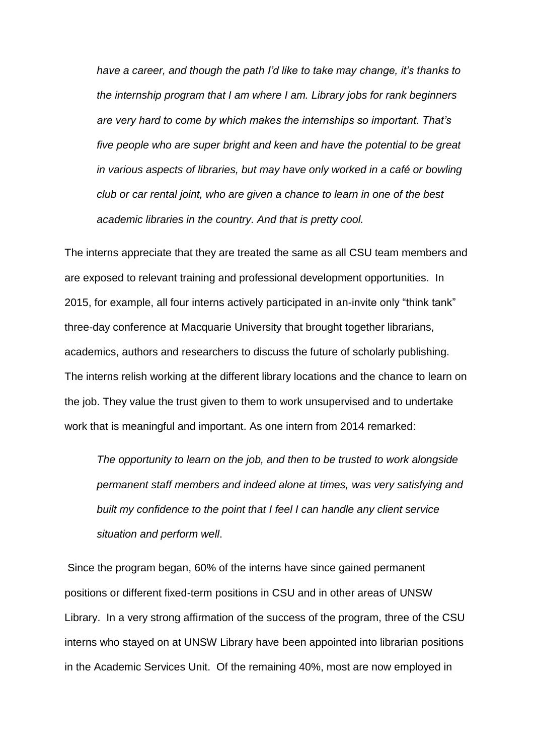*have a career, and though the path I'd like to take may change, it's thanks to the internship program that I am where I am. Library jobs for rank beginners are very hard to come by which makes the internships so important. That's five people who are super bright and keen and have the potential to be great in various aspects of libraries, but may have only worked in a café or bowling club or car rental joint, who are given a chance to learn in one of the best academic libraries in the country. And that is pretty cool.*

The interns appreciate that they are treated the same as all CSU team members and are exposed to relevant training and professional development opportunities. In 2015, for example, all four interns actively participated in an-invite only "think tank" three-day conference at Macquarie University that brought together librarians, academics, authors and researchers to discuss the future of scholarly publishing. The interns relish working at the different library locations and the chance to learn on the job. They value the trust given to them to work unsupervised and to undertake work that is meaningful and important. As one intern from 2014 remarked:

*The opportunity to learn on the job, and then to be trusted to work alongside permanent staff members and indeed alone at times, was very satisfying and built my confidence to the point that I feel I can handle any client service situation and perform well*.

Since the program began, 60% of the interns have since gained permanent positions or different fixed-term positions in CSU and in other areas of UNSW Library. In a very strong affirmation of the success of the program, three of the CSU interns who stayed on at UNSW Library have been appointed into librarian positions in the Academic Services Unit. Of the remaining 40%, most are now employed in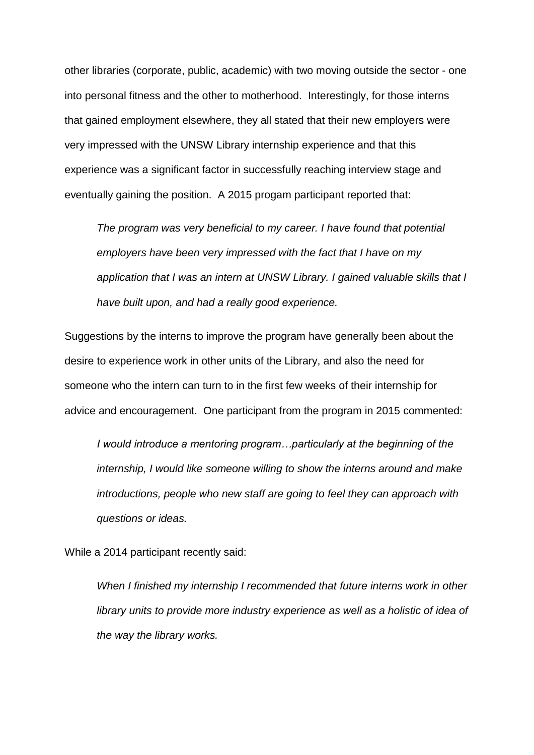other libraries (corporate, public, academic) with two moving outside the sector - one into personal fitness and the other to motherhood. Interestingly, for those interns that gained employment elsewhere, they all stated that their new employers were very impressed with the UNSW Library internship experience and that this experience was a significant factor in successfully reaching interview stage and eventually gaining the position. A 2015 progam participant reported that:

*The program was very beneficial to my career. I have found that potential employers have been very impressed with the fact that I have on my application that I was an intern at UNSW Library. I gained valuable skills that I have built upon, and had a really good experience.*

Suggestions by the interns to improve the program have generally been about the desire to experience work in other units of the Library, and also the need for someone who the intern can turn to in the first few weeks of their internship for advice and encouragement. One participant from the program in 2015 commented:

*I would introduce a mentoring program…particularly at the beginning of the internship, I would like someone willing to show the interns around and make introductions, people who new staff are going to feel they can approach with questions or ideas.*

While a 2014 participant recently said:

*When I finished my internship I recommended that future interns work in other library units to provide more industry experience as well as a holistic of idea of the way the library works.*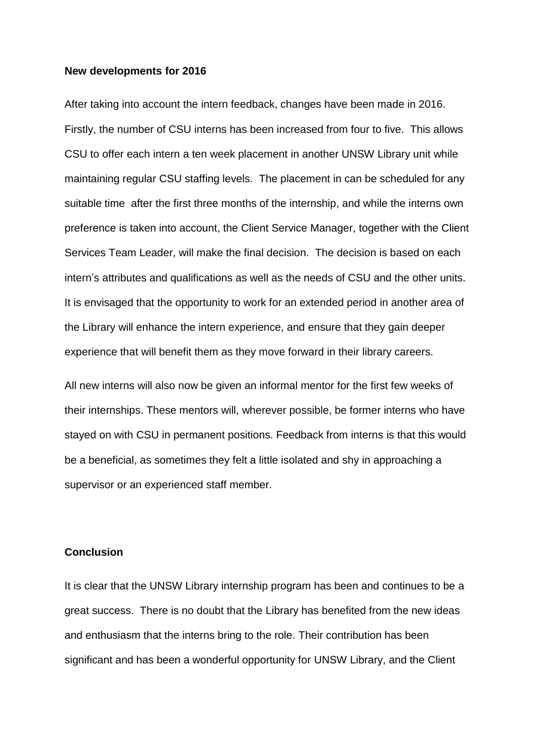#### **New developments for 2016**

After taking into account the intern feedback, changes have been made in 2016. Firstly, the number of CSU interns has been increased from four to five. This allows CSU to offer each intern a ten week placement in another UNSW Library unit while maintaining regular CSU staffing levels. The placement in can be scheduled for any suitable time after the first three months of the internship, and while the interns own preference is taken into account, the Client Service Manager, together with the Client Services Team Leader, will make the final decision. The decision is based on each intern's attributes and qualifications as well as the needs of CSU and the other units. It is envisaged that the opportunity to work for an extended period in another area of the Library will enhance the intern experience, and ensure that they gain deeper experience that will benefit them as they move forward in their library careers.

All new interns will also now be given an informal mentor for the first few weeks of their internships. These mentors will, wherever possible, be former interns who have stayed on with CSU in permanent positions. Feedback from interns is that this would be a beneficial, as sometimes they felt a little isolated and shy in approaching a supervisor or an experienced staff member.

## **Conclusion**

It is clear that the UNSW Library internship program has been and continues to be a great success. There is no doubt that the Library has benefited from the new ideas and enthusiasm that the interns bring to the role. Their contribution has been significant and has been a wonderful opportunity for UNSW Library, and the Client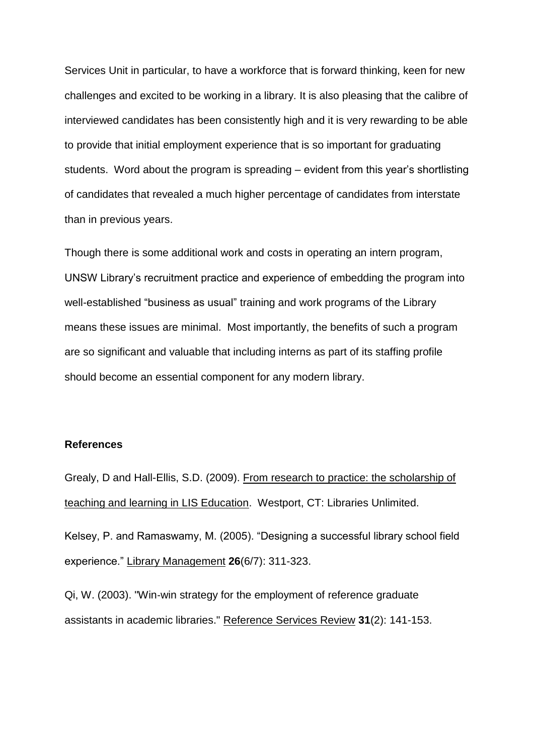Services Unit in particular, to have a workforce that is forward thinking, keen for new challenges and excited to be working in a library. It is also pleasing that the calibre of interviewed candidates has been consistently high and it is very rewarding to be able to provide that initial employment experience that is so important for graduating students. Word about the program is spreading – evident from this year's shortlisting of candidates that revealed a much higher percentage of candidates from interstate than in previous years.

Though there is some additional work and costs in operating an intern program, UNSW Library's recruitment practice and experience of embedding the program into well-established "business as usual" training and work programs of the Library means these issues are minimal. Most importantly, the benefits of such a program are so significant and valuable that including interns as part of its staffing profile should become an essential component for any modern library.

## **References**

Grealy, D and Hall-Ellis, S.D. (2009). From research to practice: the scholarship of teaching and learning in LIS Education. Westport, CT: Libraries Unlimited. Kelsey, P. and Ramaswamy, M. (2005). "Designing a successful library school field experience." Library Management **26**(6/7): 311-323.

Qi, W. (2003). "Win‐win strategy for the employment of reference graduate assistants in academic libraries." Reference Services Review **31**(2): 141-153.